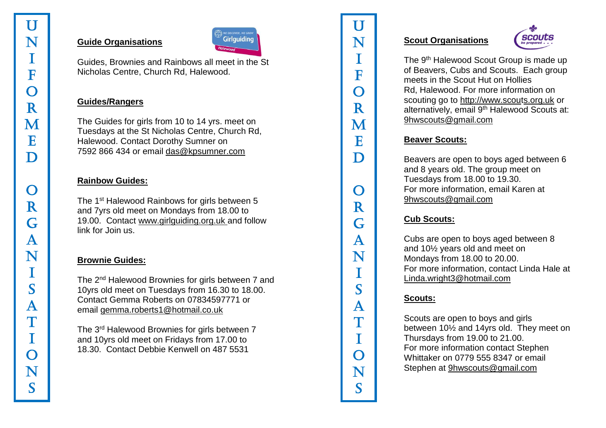#### **Guide Organisations**



Guides, Brownies and Rainbows all meet in the St Nicholas Centre, Church Rd, Halewood.

#### **Guides/Rangers**

The Guides for girls from 10 to 14 yrs. meet on Tuesdays at the St Nicholas Centre, Church Rd, Halewood. Contact Dorothy Sumner on 7592 866 434 or email [das@kpsumner.com](mailto:das@kpsumner.com)

#### **Rainbow Guides:**

The 1<sup>st</sup> Halewood Rainbows for girls between 5 and 7yrs old meet on Mondays from 18.00 to 19.00. Contact [www.girlguiding.org.uk](http://www.girlguiding.org.uk/) and follow link for Join us.

## **Brownie Guides:**

The 2<sup>nd</sup> Halewood Brownies for girls between 7 and 10yrs old meet on Tuesdays from 16.30 to 18.00. Contact Gemma Roberts on 07834597771 or email [gemma.roberts1@hotmail.co.uk](mailto:gemma.roberts1@hotmail.co.uk)

The 3rd Halewood Brownies for girls between 7 and 10yrs old meet on Fridays from 17.00 to 18.30. Contact Debbie Kenwell on 487 5531

#### **Scout Organisations**



The 9<sup>th</sup> Halewood Scout Group is made up of Beavers, Cubs and Scouts. Each group meets in the Scout Hut on Hollies Rd, Halewood. For more information on scouting go to [http://www.scou](http://www.scouts.org.uk/)[ts.org.uk](http://s.org.uk/) or alternatively, email 9<sup>th</sup> Halewood Scouts at: [9hwscouts@gmail.com](mailto:9hwscouts@gmail.com)

# **Beaver Scouts:**

Beavers are open to boys aged between 6 and 8 years old. The group meet on Tuesdays from 18.00 to 19.30. For more information, email Karen at [9hwscouts@gmail.com](mailto:9hwscouts@gmail.com)

# **Cub Scouts:**

U N I F O R M E D O R G A N I S A T I O N S

 ${\bf R}$ 

G

 $\mathbf{A}$ 

N

T

S

 $\mathsf{A}$ 

 $\mathbb{T}$ 

T

 $\Omega$ 

N

S

 $\bigcap$ 

U

N

T

F

 $\Omega$ 

 $\mathbf R$ 

M

E

D

Cubs are open to boys aged between 8 and 10½ years old and meet on Mondays from 18.00 to 20.00. For more information, contact Linda Hale at <Linda.wright3@hotmail.com>

## **Scouts:**

Scouts are open to boys and girls between 10½ and 14yrs old. They meet on Thursdays from 19.00 to 21.00. For more information contact Stephen Whittaker on 0779 555 8347 or email Stephen at [9hwscouts@gmail.com](mailto:9hwscouts@gmail.com)